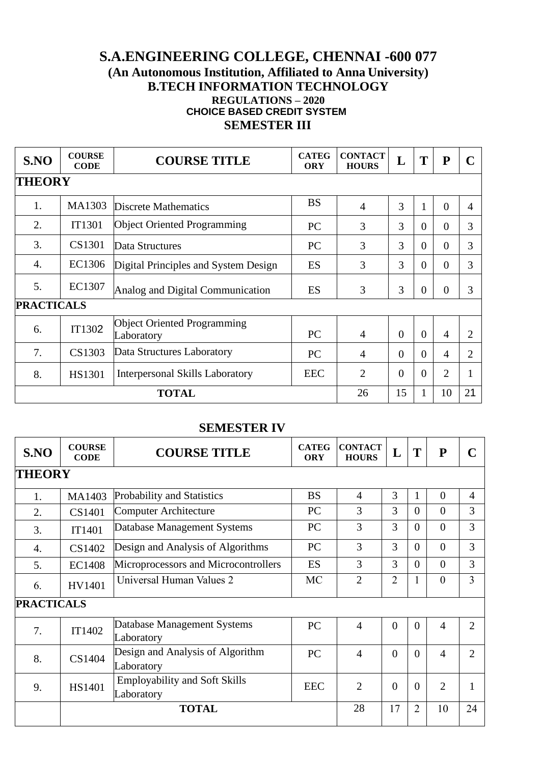## **S.A.ENGINEERING COLLEGE, CHENNAI -600 077 (An Autonomous Institution, Affiliated to Anna University) B.TECH INFORMATION TECHNOLOGY REGULATIONS – 2020 CHOICE BASED CREDIT SYSTEM SEMESTER III**

| S.NO              | <b>COURSE</b><br><b>CODE</b> | <b>COURSE TITLE</b>                              | <b>CATEG</b><br><b>ORY</b> | <b>CONTACT</b><br><b>HOURS</b> | L            | T            | ${\bf P}$      | $\mathbf C$    |
|-------------------|------------------------------|--------------------------------------------------|----------------------------|--------------------------------|--------------|--------------|----------------|----------------|
| <b>THEORY</b>     |                              |                                                  |                            |                                |              |              |                |                |
| 1.                | MA1303                       | Discrete Mathematics                             | <b>BS</b>                  | $\overline{4}$                 | 3            | $\mathbf{1}$ | $\Omega$       | 4              |
| 2.                | <b>IT1301</b>                | <b>Object Oriented Programming</b>               | <b>PC</b>                  | 3                              | 3            | $\theta$     | $\Omega$       | 3              |
| 3.                | CS1301                       | Data Structures                                  | <b>PC</b>                  | 3                              | 3            | $\theta$     | $\Omega$       | 3              |
| $\overline{4}$ .  | EC1306                       | Digital Principles and System Design             | ES                         | 3                              | 3            | $\theta$     | $\Omega$       | 3              |
| 5.                | EC1307                       | Analog and Digital Communication                 | ES                         | 3                              | 3            | $\theta$     | $\Omega$       | 3              |
| <b>PRACTICALS</b> |                              |                                                  |                            |                                |              |              |                |                |
| 6.                | IT1302                       | <b>Object Oriented Programming</b><br>Laboratory | PC                         | $\overline{4}$                 | $\Omega$     | $\Omega$     | $\overline{4}$ | $\overline{2}$ |
| 7.                | CS1303                       | Data Structures Laboratory                       | <b>PC</b>                  | 4                              | $\Omega$     | $\Omega$     | 4              | $\overline{2}$ |
| 8.                | <b>HS1301</b>                | <b>Interpersonal Skills Laboratory</b>           | <b>EEC</b>                 | $\overline{2}$                 | $\Omega$     | $\theta$     | $\overline{2}$ |                |
| <b>TOTAL</b>      |                              |                                                  | 26                         | 15                             | $\mathbf{1}$ | 10           | 21             |                |

## **SEMESTER IV**

| S.NO              | <b>COURSE</b><br><b>CODE</b> | <b>COURSE TITLE</b>                                | <b>CATEG</b><br><b>ORY</b> | <b>CONTACT</b><br><b>HOURS</b> | L              | T              | ${\bf P}$      |                             |
|-------------------|------------------------------|----------------------------------------------------|----------------------------|--------------------------------|----------------|----------------|----------------|-----------------------------|
| <b>THEORY</b>     |                              |                                                    |                            |                                |                |                |                |                             |
| 1.                | MA1403                       | <b>Probability and Statistics</b>                  | <b>BS</b>                  | $\overline{4}$                 | 3              | 1              | $\overline{0}$ | $\overline{4}$              |
| 2.                | CS1401                       | <b>Computer Architecture</b>                       | PC                         | 3                              | 3              | $\theta$       | $\theta$       | 3                           |
| 3.                | IT1401                       | Database Management Systems                        | PC                         | 3                              | 3              | $\theta$       | $\Omega$       | 3                           |
| 4.                | CS1402                       | Design and Analysis of Algorithms                  | PC                         | 3                              | 3              | $\overline{0}$ | $\overline{0}$ | 3                           |
| 5.                | <b>EC1408</b>                | Microprocessors and Microcontrollers               | ES                         | 3                              | 3              | $\theta$       | $\theta$       | 3                           |
| 6.                | HV1401                       | Universal Human Values 2                           | <b>MC</b>                  | $\overline{2}$                 | $\overline{2}$ | $\mathbf{1}$   | $\theta$       | 3                           |
| <b>PRACTICALS</b> |                              |                                                    |                            |                                |                |                |                |                             |
| 7.                | IT1402                       | Database Management Systems<br>Laboratory          | PC                         | $\overline{4}$                 | $\overline{0}$ | $\overline{0}$ | $\overline{4}$ | $\mathcal{D}_{\mathcal{L}}$ |
| 8.                | CS1404                       | Design and Analysis of Algorithm<br>Laboratory     | PC                         | $\overline{A}$                 | $\overline{0}$ | $\overline{0}$ | $\overline{4}$ | $\overline{2}$              |
| 9.                | HS1401                       | <b>Employability and Soft Skills</b><br>Laboratory | <b>EEC</b>                 | $\overline{2}$                 | $\theta$       | $\overline{0}$ | $\overline{2}$ | 1                           |
|                   |                              | <b>TOTAL</b>                                       |                            | 28                             | 17             | $\overline{2}$ | 10             | 24                          |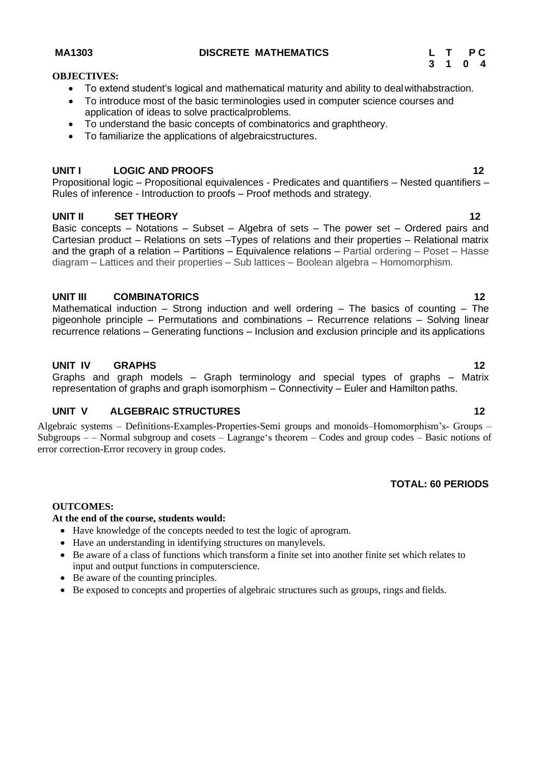## **MA1303 DISCRETE MATHEMATICS L T P C**

## **OBJECTIVES:**

- To extend student's logical and mathematical maturity and ability to dealwithabstraction.
- To introduce most of the basic terminologies used in computer science courses and application of ideas to solve practicalproblems.
- To understand the basic concepts of combinatorics and graphtheory.
- To familiarize the applications of algebraicstructures.

#### **UNIT I LOGIC AND PROOFS 12**

Propositional logic – Propositional equivalences - Predicates and quantifiers – Nested quantifiers – Rules of inference - Introduction to proofs – Proof methods and strategy.

#### **UNIT II SET THEORY 12**

Basic concepts – Notations – Subset – Algebra of sets – The power set – Ordered pairs and Cartesian product – Relations on sets –Types of relations and their properties – Relational matrix and the graph of a relation – Partitions – Equivalence relations – Partial ordering – Poset – Hasse diagram – Lattices and their properties – Sub lattices – Boolean algebra – Homomorphism.

#### **UNIT III COMBINATORICS 12**

Mathematical induction – Strong induction and well ordering – The basics of counting – The pigeonhole principle – Permutations and combinations – Recurrence relations – Solving linear recurrence relations – Generating functions – Inclusion and exclusion principle and its applications

#### **UNIT IV GRAPHS 12**

Graphs and graph models – Graph terminology and special types of graphs – Matrix representation of graphs and graph isomorphism – Connectivity – Euler and Hamilton paths.

#### **UNIT V ALGEBRAIC STRUCTURES 12**

Algebraic systems – Definitions-Examples-Properties-Semi groups and monoids–Homomorphism's- Groups – Subgroups – – Normal subgroup and cosets – Lagrange's theorem – Codes and group codes – Basic notions of error correction-Error recovery in group codes.

#### **TOTAL: 60 PERIODS**

#### **OUTCOMES:**

#### **At the end of the course, students would:**

- Have knowledge of the concepts needed to test the logic of aprogram.
- Have an understanding in identifying structures on manylevels.
- Be aware of a class of functions which transform a finite set into another finite set which relates to input and output functions in computerscience.
- Be aware of the counting principles.
- Be exposed to concepts and properties of algebraic structures such as groups, rings and fields.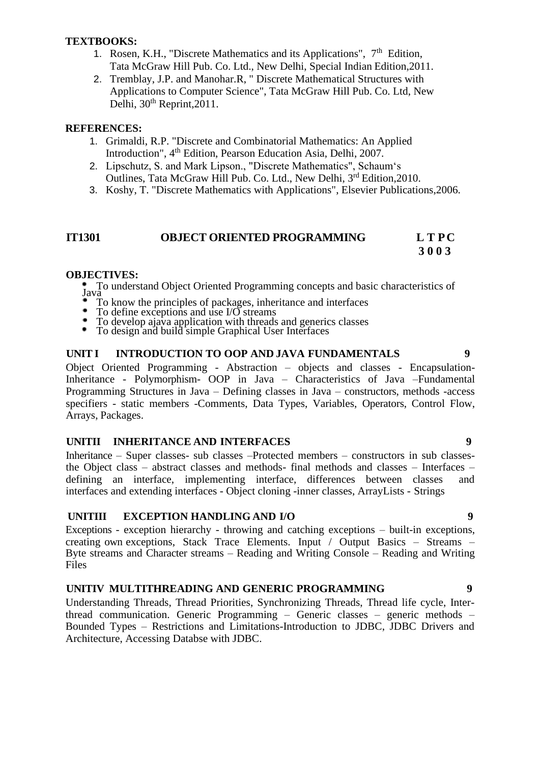#### **TEXTBOOKS:**

- 1. Rosen, K.H., "Discrete Mathematics and its Applications",  $7<sup>th</sup>$  Edition, Tata McGraw Hill Pub. Co. Ltd., New Delhi, Special Indian Edition,2011.
- 2. Tremblay, J.P. and Manohar.R, " Discrete Mathematical Structures with Applications to Computer Science", Tata McGraw Hill Pub. Co. Ltd, New Delhi,  $30<sup>th</sup>$  Reprint, 2011.

#### **REFERENCES:**

- 1. Grimaldi, R.P. "Discrete and Combinatorial Mathematics: An Applied Introduction", 4<sup>th</sup> Edition, Pearson Education Asia, Delhi, 2007.
- 2. Lipschutz, S. and Mark Lipson., "Discrete Mathematics", Schaum's Outlines, Tata McGraw Hill Pub. Co. Ltd., New Delhi, 3rd Edition,2010.
- 3. Koshy, T. "Discrete Mathematics with Applications", Elsevier Publications,2006.

#### **IT1301 OBJECT ORIENTED PROGRAMMING L T PC 3 0 0 3**

#### **OBJECTIVES:**

To understand Object Oriented Programming concepts and basic characteristics of Java va Ja

- To know the principles of packages, inheritance and interfaces
- To define exceptions and use I/O streams
- ۰ To develop ajava application with threads and generics classes
- ٠ To design and build simple Graphical User Interfaces

#### **UNIT I INTRODUCTION TO OOP AND JAVA FUNDAMENTALS 9**

Object Oriented Programming - Abstraction – objects and classes - Encapsulation-Inheritance - Polymorphism- OOP in Java – Characteristics of Java –Fundamental Programming Structures in Java – Defining classes in Java – constructors, methods -access specifiers - static members -Comments, Data Types, Variables, Operators, Control Flow, Arrays, Packages.

### **UNITII INHERITANCE AND INTERFACES 9**

Inheritance – Super classes- sub classes –Protected members – constructors in sub classesthe Object class – abstract classes and methods- final methods and classes – Interfaces – defining an interface, implementing interface, differences between classes and interfaces and extending interfaces - Object cloning -inner classes, ArrayLists - Strings

#### **UNITIII EXCEPTION HANDLING AND I/O 9**

Exceptions - exception hierarchy - throwing and catching exceptions – built-in exceptions, creating own exceptions, Stack Trace Elements. Input / Output Basics – Streams – Byte streams and Character streams – Reading and Writing Console – Reading and Writing Files

#### **UNITIV MULTITHREADING AND GENERIC PROGRAMMING 9**

Understanding Threads, Thread Priorities, Synchronizing Threads, Thread life cycle, Interthread communication. Generic Programming – Generic classes – generic methods – Bounded Types – Restrictions and Limitations-Introduction to JDBC, JDBC Drivers and Architecture, Accessing Databse with JDBC.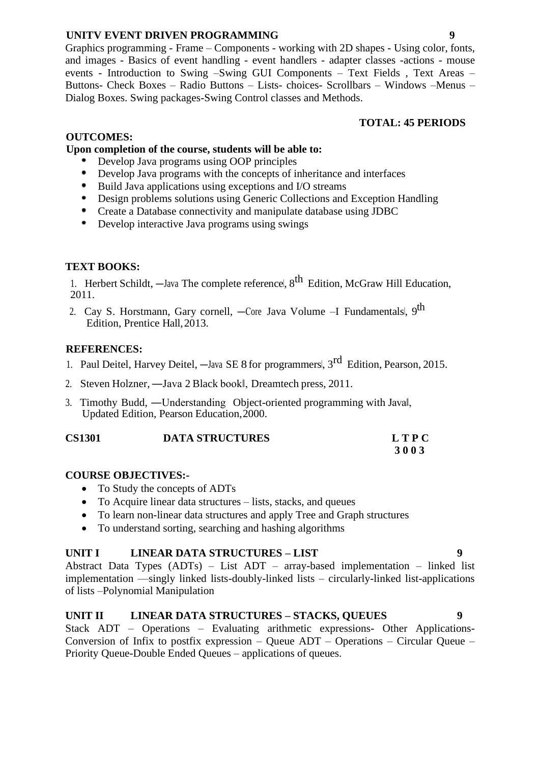## **UNITV EVENT DRIVEN PROGRAMMING 9**

Graphics programming - Frame – Components - working with 2D shapes - Using color, fonts, and images - Basics of event handling - event handlers - adapter classes -actions - mouse events - Introduction to Swing –Swing GUI Components – Text Fields , Text Areas – Buttons- Check Boxes – Radio Buttons – Lists- choices- Scrollbars – Windows –Menus – Dialog Boxes. Swing packages-Swing Control classes and Methods.

### **TOTAL: 45 PERIODS**

## **OUTCOMES:**

## **Upon completion of the course, students will be able to:**

- Develop Java programs using OOP principles
- Develop Java programs with the concepts of inheritance and interfaces
- Build Java applications using exceptions and I/O streams
- ٠. Design problems solutions using Generic Collections and Exception Handling
- Create a Database connectivity and manipulate database using JDBC
- ٠. Develop interactive Java programs using swings

## **TEXT BOOKS:**

1. Herbert Schildt,  $-$ Java The complete reference,  $8<sup>th</sup>$  Edition, McGraw Hill Education, 2011.

2. Cay S. Horstmann, Gary cornell, —Core Java Volume –I Fundamentals|, 9<sup>th</sup> Edition, Prentice Hall,2013.

## **REFERENCES:**

- 1. Paul Deitel, Harvey Deitel,  $-$ Java SE 8 for programmers,  $3<sup>rd</sup>$  Edition, Pearson, 2015.
- 2. Steven Holzner, ―Java 2 Black book‖, Dreamtech press, 2011.
- 3. Timothy Budd, ―Understanding Object-oriented programming with Java‖, Updated Edition, Pearson Education,2000.

| <b>CS1301</b> | <b>DATA STRUCTURES</b> | <b>LTPC</b> |
|---------------|------------------------|-------------|
|               |                        | 3003        |

## **COURSE OBJECTIVES:-**

- To Study the concepts of ADTs
- To Acquire linear data structures lists, stacks, and queues
- To learn non-linear data structures and apply Tree and Graph structures
- To understand sorting, searching and hashing algorithms

### **UNIT I LINEAR DATA STRUCTURES – LIST 9**

Abstract Data Types (ADTs) – List ADT – array-based implementation – linked list implementation ––singly linked lists-doubly-linked lists – circularly-linked list-applications of lists –Polynomial Manipulation

### **UNIT II LINEAR DATA STRUCTURES – STACKS, QUEUES 9**

Stack ADT – Operations – Evaluating arithmetic expressions- Other Applications-Conversion of Infix to postfix expression – Queue ADT – Operations – Circular Queue – Priority Queue-Double Ended Queues – applications of queues.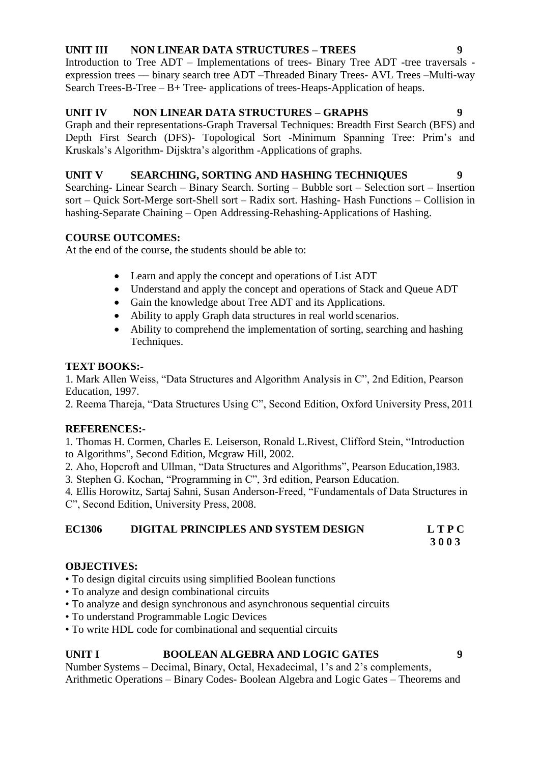## **UNIT III NON LINEAR DATA STRUCTURES – TREES 9**

Introduction to Tree ADT – Implementations of trees- Binary Tree ADT -tree traversals expression trees –– binary search tree ADT –Threaded Binary Trees- AVL Trees –Multi-way Search Trees-B-Tree – B+ Tree- applications of trees-Heaps-Application of heaps.

## **UNIT IV NON LINEAR DATA STRUCTURES – GRAPHS 9**

Graph and their representations-Graph Traversal Techniques: Breadth First Search (BFS) and Depth First Search (DFS)- Topological Sort -Minimum Spanning Tree: Prim's and Kruskals's Algorithm- Dijsktra's algorithm -Applications of graphs.

## **UNIT V SEARCHING, SORTING AND HASHING TECHNIQUES 9**

Searching- Linear Search – Binary Search. Sorting – Bubble sort – Selection sort – Insertion sort – Quick Sort-Merge sort-Shell sort – Radix sort. Hashing- Hash Functions – Collision in hashing-Separate Chaining – Open Addressing-Rehashing-Applications of Hashing.

## **COURSE OUTCOMES:**

At the end of the course, the students should be able to:

- Learn and apply the concept and operations of List ADT
- Understand and apply the concept and operations of Stack and Queue ADT
- Gain the knowledge about Tree ADT and its Applications.
- Ability to apply Graph data structures in real world scenarios.
- Ability to comprehend the implementation of sorting, searching and hashing Techniques.

### **TEXT BOOKS:-**

1. Mark Allen Weiss, "Data Structures and Algorithm Analysis in C", 2nd Edition, Pearson Education, 1997.

2. Reema Thareja, "Data Structures Using C", Second Edition, Oxford University Press, 2011

## **REFERENCES:-**

1. Thomas H. Cormen, Charles E. Leiserson, Ronald L.Rivest, Clifford Stein, "Introduction to Algorithms", Second Edition, Mcgraw Hill, 2002.

2. Aho, Hopcroft and Ullman, "Data Structures and Algorithms", Pearson Education,1983.

3. Stephen G. Kochan, "Programming in C", 3rd edition, Pearson Education.

4. Ellis Horowitz, Sartaj Sahni, Susan Anderson-Freed, "Fundamentals of Data Structures in C", Second Edition, University Press, 2008.

# **EC1306 DIGITAL PRINCIPLES AND SYSTEM DESIGN L T P C**

**3 0 0 3**

## **OBJECTIVES:**

- To design digital circuits using simplified Boolean functions
- To analyze and design combinational circuits
- To analyze and design synchronous and asynchronous sequential circuits
- To understand Programmable Logic Devices
- To write HDL code for combinational and sequential circuits

## **UNIT I BOOLEAN ALGEBRA AND LOGIC GATES 9**

Number Systems – Decimal, Binary, Octal, Hexadecimal, 1's and 2's complements, Arithmetic Operations – Binary Codes- Boolean Algebra and Logic Gates – Theorems and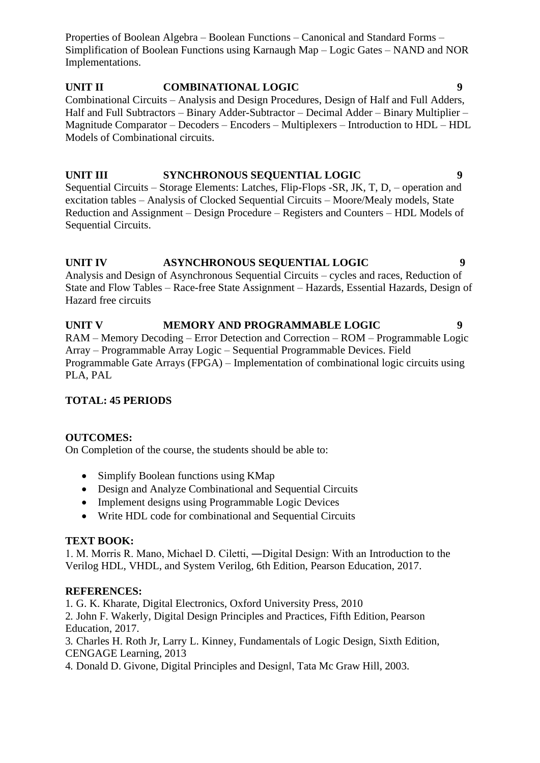Properties of Boolean Algebra – Boolean Functions – Canonical and Standard Forms – Simplification of Boolean Functions using Karnaugh Map – Logic Gates – NAND and NOR Implementations.

#### **UNIT II COMBINATIONAL LOGIC 9** Combinational Circuits – Analysis and Design Procedures, Design of Half and Full Adders, Half and Full Subtractors – Binary Adder-Subtractor – Decimal Adder – Binary Multiplier – Magnitude Comparator – Decoders – Encoders – Multiplexers – Introduction to HDL – HDL Models of Combinational circuits.

**UNIT III SYNCHRONOUS SEQUENTIAL LOGIC 9** Sequential Circuits – Storage Elements: Latches, Flip-Flops -SR, JK, T, D, – operation and excitation tables – Analysis of Clocked Sequential Circuits – Moore/Mealy models, State Reduction and Assignment – Design Procedure – Registers and Counters – HDL Models of Sequential Circuits.

## **UNIT IV ASYNCHRONOUS SEQUENTIAL LOGIC 9**

Analysis and Design of Asynchronous Sequential Circuits – cycles and races, Reduction of State and Flow Tables – Race-free State Assignment – Hazards, Essential Hazards, Design of Hazard free circuits

**UNIT V MEMORY AND PROGRAMMABLE LOGIC 9** RAM – Memory Decoding – Error Detection and Correction – ROM – Programmable Logic Array – Programmable Array Logic – Sequential Programmable Devices. Field Programmable Gate Arrays (FPGA) – Implementation of combinational logic circuits using PLA, PAL

## **TOTAL: 45 PERIODS**

### **OUTCOMES:**

On Completion of the course, the students should be able to:

- Simplify Boolean functions using KMap
- Design and Analyze Combinational and Sequential Circuits
- Implement designs using Programmable Logic Devices
- Write HDL code for combinational and Sequential Circuits

### **TEXT BOOK:**

1. M. Morris R. Mano, Michael D. Ciletti, ―Digital Design: With an Introduction to the Verilog HDL, VHDL, and System Verilog, 6th Edition, Pearson Education, 2017.

### **REFERENCES:**

1. G. K. Kharate, Digital Electronics, Oxford University Press, 2010

2. John F. Wakerly, Digital Design Principles and Practices, Fifth Edition, Pearson Education, 2017.

3. Charles H. Roth Jr, Larry L. Kinney, Fundamentals of Logic Design, Sixth Edition, CENGAGE Learning, 2013

4. Donald D. Givone, Digital Principles and Design‖, Tata Mc Graw Hill, 2003.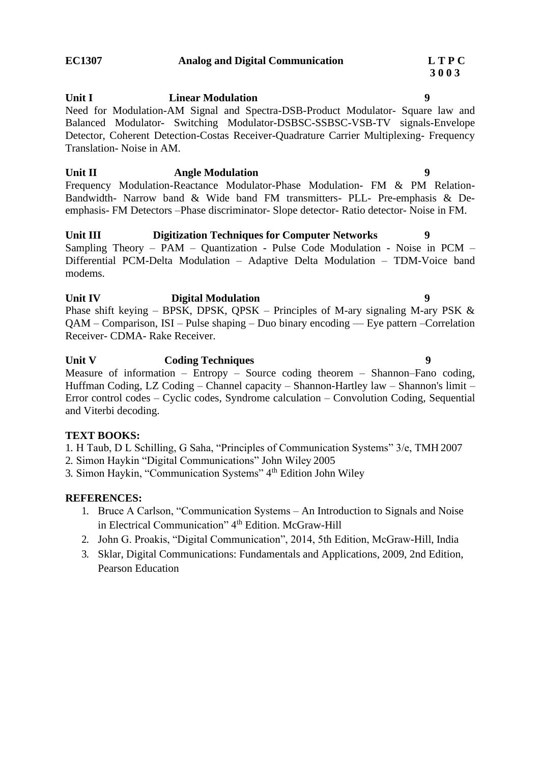#### **EC1307 Analog and Digital Communication L T P C**

**Unit I Linear Modulation 9**

### Need for Modulation-AM Signal and Spectra-DSB-Product Modulator- Square law and Balanced Modulator- Switching Modulator-DSBSC-SSBSC-VSB-TV signals-Envelope Detector, Coherent Detection-Costas Receiver-Quadrature Carrier Multiplexing- Frequency Translation- Noise in AM.

**Unit II Angle Modulation 9** Frequency Modulation-Reactance Modulator-Phase Modulation- FM & PM Relation-Bandwidth- Narrow band & Wide band FM transmitters- PLL- Pre-emphasis & Deemphasis- FM Detectors –Phase discriminator- Slope detector- Ratio detector- Noise in FM.

**Unit III Digitization Techniques for Computer Networks 9** Sampling Theory – PAM – Quantization - Pulse Code Modulation - Noise in PCM – Differential PCM-Delta Modulation – Adaptive Delta Modulation – TDM-Voice band modems.

**Unit IV Digital Modulation 9** Phase shift keying – BPSK, DPSK, QPSK – Principles of M-ary signaling M-ary PSK  $\&$ QAM – Comparison, ISI – Pulse shaping – Duo binary encoding –– Eye pattern –Correlation Receiver- CDMA- Rake Receiver.

**Unit V Coding Techniques 9** Measure of information – Entropy – Source coding theorem – Shannon–Fano coding, Huffman Coding, LZ Coding – Channel capacity – Shannon-Hartley law – Shannon's limit – Error control codes – Cyclic codes, Syndrome calculation – Convolution Coding, Sequential and Viterbi decoding.

### **TEXT BOOKS:**

1. H Taub, D L Schilling, G Saha, "Principles of Communication Systems" 3/e, TMH 2007

- 2. Simon Haykin "Digital Communications" John Wiley 2005
- 3. Simon Haykin, "Communication Systems" 4th Edition John Wiley

#### **REFERENCES:**

- 1. Bruce A Carlson, "Communication Systems An Introduction to Signals and Noise in Electrical Communication" 4<sup>th</sup> Edition. McGraw-Hill
- 2. John G. Proakis, "Digital Communication", 2014, 5th Edition, McGraw-Hill, India
- 3. Sklar, Digital Communications: Fundamentals and Applications, 2009, 2nd Edition, Pearson Education

**3 0 0 3**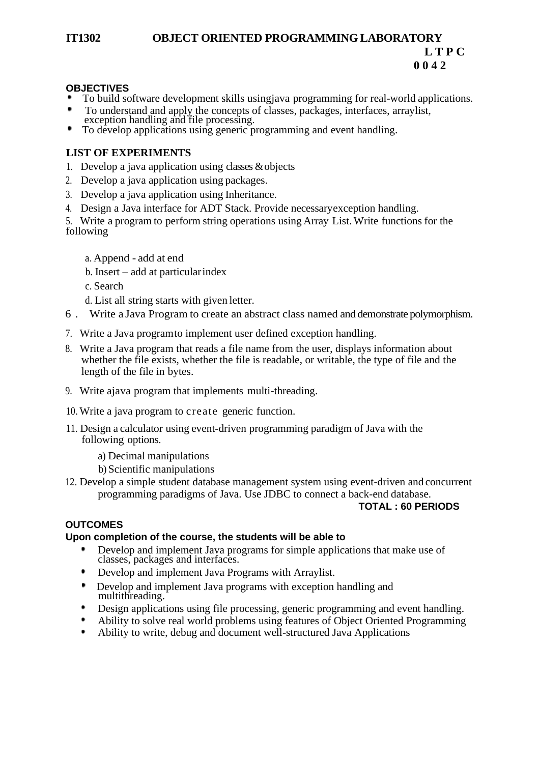### **IT1302 OBJECT ORIENTED PROGRAMMING LABORATORY L T P C 0 0 4 2**

#### **OBJECTIVES**

- To build software development skills usingjava programming for real-world applications.
- To understand and apply the concepts of classes, packages, interfaces, arraylist, exception handling and file processing.  $\bullet$
- To develop applications using generic programming and event handling.

### **LIST OF EXPERIMENTS**

- 1. Develop a java application using classes &objects
- 2. Develop a java application using packages.
- 3. Develop a java application using Inheritance.
- 4. Design a Java interface for ADT Stack. Provide necessaryexception handling.

5. Write a program to perform string operations using Array List.Write functions for the following

- a. Append add at end
- b. Insert add at particularindex
- c. Search
- d. List all string starts with given letter.
- 6 . Write a Java Program to create an abstract class named and demonstrate polymorphism.
- 7. Write a Java programto implement user defined exception handling.
- 8. Write a Java program that reads a file name from the user, displays information about whether the file exists, whether the file is readable, or writable, the type of file and the length of the file in bytes.
- 9. Write ajava program that implements multi-threading.
- 10. Write a java program to create generic function.
- 11. Design a calculator using event-driven programming paradigm of Java with the following options.
	- a) Decimal manipulations
	- b) Scientific manipulations
- 12. Develop a simple student database management system using event-driven and concurrent programming paradigms of Java. Use JDBC to connect a back-end database.

#### **TOTAL : 60 PERIODS**

### **OUTCOMES**

#### **Upon completion of the course, the students will be able to**

- Develop and implement Java programs for simple applications that make use of classes, packages and interfaces.
- ٠ Develop and implement Java Programs with Arraylist.
- $\bullet$ Develop and implement Java programs with exception handling and multithreading.
- ٠ Design applications using file processing, generic programming and event handling.
- Ability to solve real world problems using features of Object Oriented Programming
- Ability to write, debug and document well-structured Java Applications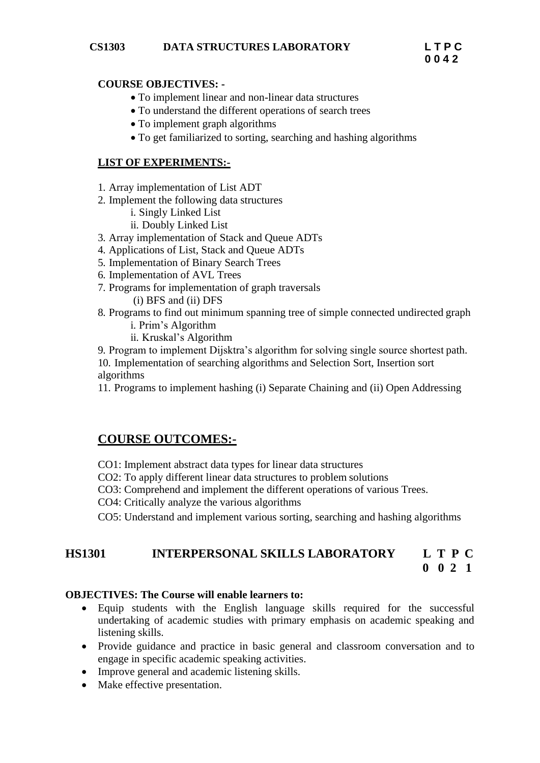#### **COURSE OBJECTIVES: -**

- To implement linear and non-linear data structures
- To understand the different operations of search trees
- To implement graph algorithms
- To get familiarized to sorting, searching and hashing algorithms

#### **LIST OF EXPERIMENTS:-**

- 1. Array implementation of List ADT
- 2. Implement the following data structures
	- i. Singly Linked List
	- ii. Doubly Linked List
- 3. Array implementation of Stack and Queue ADTs
- 4. Applications of List, Stack and Queue ADTs
- 5. Implementation of Binary Search Trees
- 6. Implementation of AVL Trees
- 7. Programs for implementation of graph traversals
	- (i) BFS and (ii) DFS
- 8. Programs to find out minimum spanning tree of simple connected undirected graph
	- i. Prim's Algorithm
	- ii. Kruskal's Algorithm

9. Program to implement Dijsktra's algorithm for solving single source shortest path. 10. Implementation of searching algorithms and Selection Sort, Insertion sort algorithms

11. Programs to implement hashing (i) Separate Chaining and (ii) Open Addressing

## **COURSE OUTCOMES:-**

- CO1: Implement abstract data types for linear data structures
- CO2: To apply different linear data structures to problem solutions
- CO3: Comprehend and implement the different operations of various Trees.
- CO4: Critically analyze the various algorithms
- CO5: Understand and implement various sorting, searching and hashing algorithms

## **HS1301 INTERPERSONAL SKILLS LABORATORY L T P C 0 0 2 1**

### **OBJECTIVES: The Course will enable learners to:**

- Equip students with the English language skills required for the successful undertaking of academic studies with primary emphasis on academic speaking and listening skills.
- Provide guidance and practice in basic general and classroom conversation and to engage in specific academic speaking activities.
- Improve general and academic listening skills.
- Make effective presentation.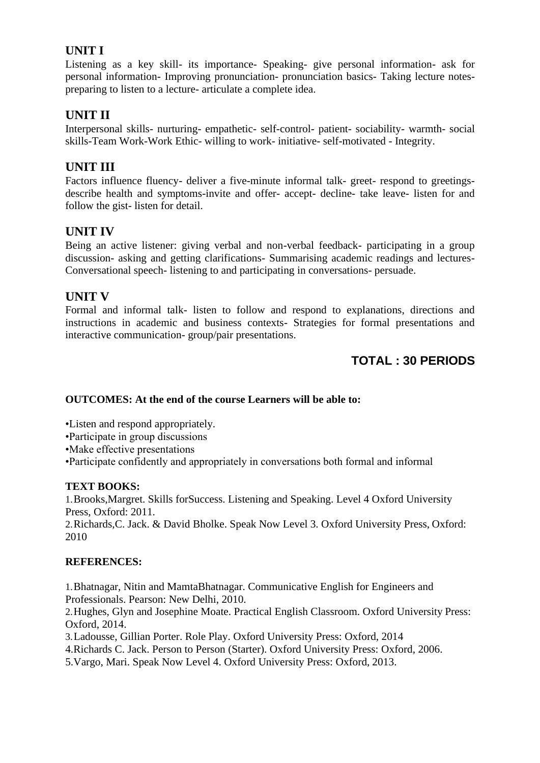## **UNIT I**

Listening as a key skill- its importance- Speaking- give personal information- ask for personal information- Improving pronunciation- pronunciation basics- Taking lecture notespreparing to listen to a lecture- articulate a complete idea.

## **UNIT II**

Interpersonal skills- nurturing- empathetic- self-control- patient- sociability- warmth- social skills-Team Work-Work Ethic- willing to work- initiative- self-motivated - Integrity.

## **UNIT III**

Factors influence fluency- deliver a five-minute informal talk- greet- respond to greetingsdescribe health and symptoms-invite and offer- accept- decline- take leave- listen for and follow the gist- listen for detail.

## **UNIT IV**

Being an active listener: giving verbal and non-verbal feedback- participating in a group discussion- asking and getting clarifications- Summarising academic readings and lectures-Conversational speech- listening to and participating in conversations- persuade.

## **UNIT V**

Formal and informal talk- listen to follow and respond to explanations, directions and instructions in academic and business contexts- Strategies for formal presentations and interactive communication- group/pair presentations.

# **TOTAL : 30 PERIODS**

### **OUTCOMES: At the end of the course Learners will be able to:**

•Listen and respond appropriately.

•Participate in group discussions

•Make effective presentations

•Participate confidently and appropriately in conversations both formal and informal

### **TEXT BOOKS:**

1.Brooks,Margret. Skills forSuccess. Listening and Speaking. Level 4 Oxford University Press, Oxford: 2011.

2.Richards,C. Jack. & David Bholke. Speak Now Level 3. Oxford University Press, Oxford: 2010

### **REFERENCES:**

1.Bhatnagar, Nitin and MamtaBhatnagar. Communicative English for Engineers and Professionals. Pearson: New Delhi, 2010.

2.Hughes, Glyn and Josephine Moate. Practical English Classroom. Oxford University Press: Oxford, 2014.

3.Ladousse, Gillian Porter. Role Play. Oxford University Press: Oxford, 2014

4.Richards C. Jack. Person to Person (Starter). Oxford University Press: Oxford, 2006.

5.Vargo, Mari. Speak Now Level 4. Oxford University Press: Oxford, 2013.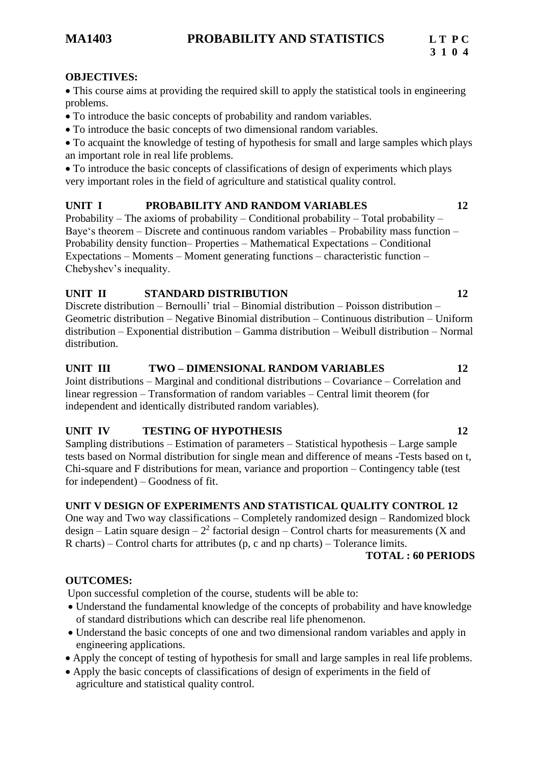#### **OBJECTIVES:**

• This course aims at providing the required skill to apply the statistical tools in engineering problems.

- To introduce the basic concepts of probability and random variables.
- To introduce the basic concepts of two dimensional random variables.

• To acquaint the knowledge of testing of hypothesis for small and large samples which plays an important role in real life problems.

• To introduce the basic concepts of classifications of design of experiments which plays very important roles in the field of agriculture and statistical quality control.

## **UNIT I PROBABILITY AND RANDOM VARIABLES 12**

Probability – The axioms of probability – Conditional probability – Total probability – Baye's theorem – Discrete and continuous random variables – Probability mass function – Probability density function– Properties – Mathematical Expectations – Conditional Expectations – Moments – Moment generating functions – characteristic function – Chebyshev's inequality.

## **UNIT II STANDARD DISTRIBUTION 12**

Discrete distribution – Bernoulli' trial – Binomial distribution – Poisson distribution – Geometric distribution – Negative Binomial distribution – Continuous distribution – Uniform distribution – Exponential distribution – Gamma distribution – Weibull distribution – Normal distribution.

## **UNIT III TWO – DIMENSIONAL RANDOM VARIABLES 12**

Joint distributions – Marginal and conditional distributions – Covariance – Correlation and linear regression – Transformation of random variables – Central limit theorem (for independent and identically distributed random variables).

## **UNIT IV TESTING OF HYPOTHESIS 12**

Sampling distributions – Estimation of parameters – Statistical hypothesis – Large sample tests based on Normal distribution for single mean and difference of means -Tests based on t, Chi-square and F distributions for mean, variance and proportion – Contingency table (test for independent) – Goodness of fit.

## **UNIT V DESIGN OF EXPERIMENTS AND STATISTICAL QUALITY CONTROL 12**

One way and Two way classifications – Completely randomized design – Randomized block design – Latin square design –  $2<sup>2</sup>$  factorial design – Control charts for measurements (X and R charts) – Control charts for attributes (p, c and np charts) – Tolerance limits.

### **TOTAL : 60 PERIODS**

## **OUTCOMES:**

Upon successful completion of the course, students will be able to:

- Understand the fundamental knowledge of the concepts of probability and have knowledge of standard distributions which can describe real life phenomenon.
- Understand the basic concepts of one and two dimensional random variables and apply in engineering applications.
- Apply the concept of testing of hypothesis for small and large samples in real life problems.
- Apply the basic concepts of classifications of design of experiments in the field of agriculture and statistical quality control.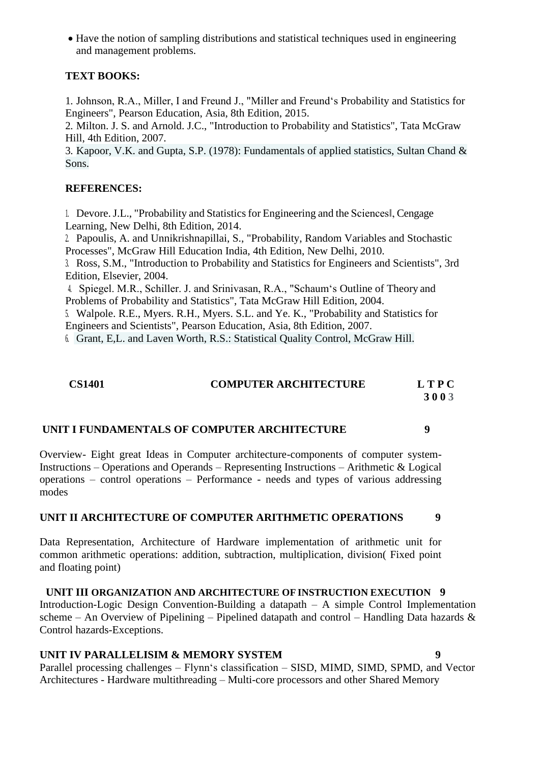• Have the notion of sampling distributions and statistical techniques used in engineering and management problems.

### **TEXT BOOKS:**

1. Johnson, R.A., Miller, I and Freund J., "Miller and Freund's Probability and Statistics for Engineers", Pearson Education, Asia, 8th Edition, 2015.

2. Milton. J. S. and Arnold. J.C., "Introduction to Probability and Statistics", Tata McGraw Hill, 4th Edition, 2007.

3. Kapoor, V.K. and Gupta, S.P. (1978): Fundamentals of applied statistics, Sultan Chand & Sons.

## **REFERENCES:**

1. Devore.J.L., "Probability and Statisticsfor Engineering and the Sciences‖, Cengage Learning, New Delhi, 8th Edition, 2014.

2. Papoulis, A. and Unnikrishnapillai, S., "Probability, Random Variables and Stochastic Processes", McGraw Hill Education India, 4th Edition, New Delhi, 2010.

3. Ross, S.M., "Introduction to Probability and Statistics for Engineers and Scientists", 3rd Edition, Elsevier, 2004.

4. Spiegel. M.R., Schiller. J. and Srinivasan, R.A., "Schaum's Outline of Theory and Problems of Probability and Statistics", Tata McGraw Hill Edition, 2004.

5. Walpole. R.E., Myers. R.H., Myers. S.L. and Ye. K., "Probability and Statistics for Engineers and Scientists", Pearson Education, Asia, 8th Edition, 2007.

6. Grant, E,L. and Laven Worth, R.S.: Statistical Quality Control, McGraw Hill.

**CS1401 COMPUTER ARCHITECTURE L T P C 3 0 0 3**

#### **UNIT I FUNDAMENTALS OF COMPUTER ARCHITECTURE 9**

Overview- Eight great Ideas in Computer architecture-components of computer system-Instructions – Operations and Operands – Representing Instructions – Arithmetic & Logical operations – control operations – Performance - needs and types of various addressing modes

### **UNIT II ARCHITECTURE OF COMPUTER ARITHMETIC OPERATIONS 9**

Data Representation, Architecture of Hardware implementation of arithmetic unit for common arithmetic operations: addition, subtraction, multiplication, division( Fixed point and floating point)

**UNIT III ORGANIZATION AND ARCHITECTURE OF INSTRUCTION EXECUTION 9** Introduction-Logic Design Convention-Building a datapath – A simple Control Implementation scheme – An Overview of Pipelining – Pipelined datapath and control – Handling Data hazards  $\&$ Control hazards-Exceptions.

### **UNIT IV PARALLELISIM & MEMORY SYSTEM 9**

Parallel processing challenges – Flynn's classification – SISD, MIMD, SIMD, SPMD, and Vector Architectures - Hardware multithreading – Multi-core processors and other Shared Memory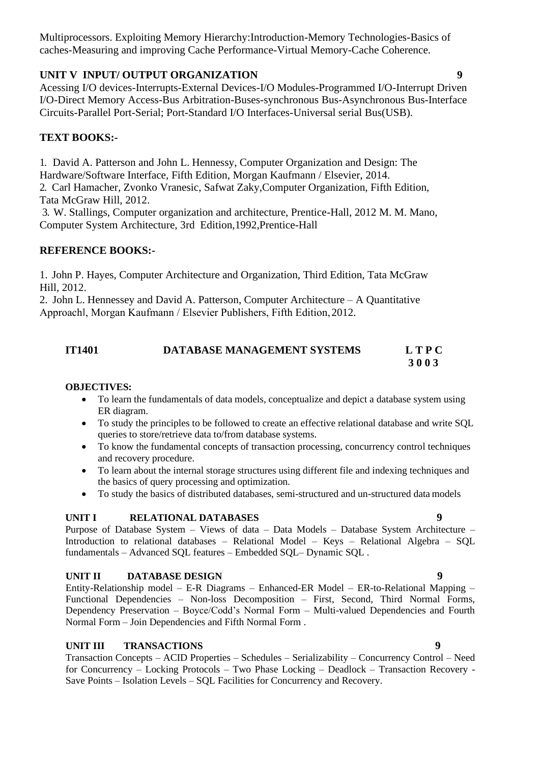Multiprocessors. Exploiting Memory Hierarchy:Introduction-Memory Technologies-Basics of caches-Measuring and improving Cache Performance-Virtual Memory-Cache Coherence.

#### **UNIT V INPUT/ OUTPUT ORGANIZATION 9**

Acessing I/O devices-Interrupts-External Devices-I/O Modules-Programmed I/O-Interrupt Driven I/O-Direct Memory Access-Bus Arbitration-Buses-synchronous Bus-Asynchronous Bus-Interface Circuits-Parallel Port-Serial; Port-Standard I/O Interfaces-Universal serial Bus(USB).

## **TEXT BOOKS:-**

1. David A. Patterson and John L. Hennessy, Computer Organization and Design: The Hardware/Software Interface, Fifth Edition, Morgan Kaufmann / Elsevier, 2014. 2. Carl Hamacher, Zvonko Vranesic, Safwat Zaky,Computer Organization, Fifth Edition, Tata McGraw Hill, 2012.

3. W. Stallings, Computer organization and architecture, Prentice-Hall, 2012 M. M. Mano, Computer System Architecture, 3rd Edition,1992,Prentice-Hall

## **REFERENCE BOOKS:-**

1. John P. Hayes, Computer Architecture and Organization, Third Edition, Tata McGraw Hill, 2012.

2. John L. Hennessey and David A. Patterson, Computer Architecture – A Quantitative Approach‖, Morgan Kaufmann / Elsevier Publishers, Fifth Edition,2012.

#### **IT1401 DATABASE MANAGEMENT SYSTEMS L T P C 3 0 0 3**

#### **OBJECTIVES:**

- To learn the fundamentals of data models, conceptualize and depict a database system using ER diagram.
- To study the principles to be followed to create an effective relational database and write SQL queries to store/retrieve data to/from database systems.
- To know the fundamental concepts of transaction processing, concurrency control techniques and recovery procedure.
- To learn about the internal storage structures using different file and indexing techniques and the basics of query processing and optimization.
- To study the basics of distributed databases, semi-structured and un-structured data models

### **UNIT I RELATIONAL DATABASES 9**

Purpose of Database System – Views of data – Data Models – Database System Architecture – Introduction to relational databases – Relational Model – Keys – Relational Algebra – SQL fundamentals – Advanced SQL features – Embedded SQL– Dynamic SQL .

#### **UNIT II DATABASE DESIGN 9**

Entity-Relationship model – E-R Diagrams – Enhanced-ER Model – ER-to-Relational Mapping – Functional Dependencies – Non-loss Decomposition – First, Second, Third Normal Forms, Dependency Preservation – Boyce/Codd's Normal Form – Multi-valued Dependencies and Fourth Normal Form – Join Dependencies and Fifth Normal Form .

#### **UNIT III TRANSACTIONS 9**

Transaction Concepts – ACID Properties – Schedules – Serializability – Concurrency Control – Need for Concurrency – Locking Protocols – Two Phase Locking – Deadlock – Transaction Recovery - Save Points – Isolation Levels – SQL Facilities for Concurrency and Recovery.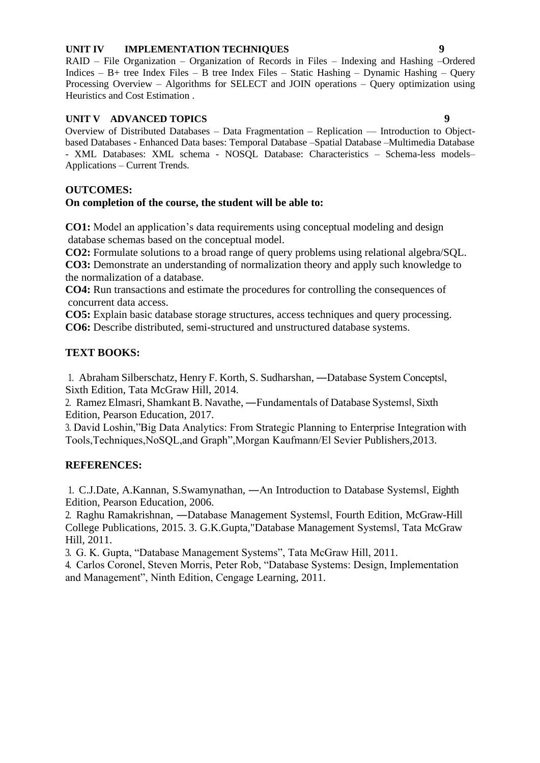#### **UNIT IV IMPLEMENTATION TECHNIQUES 9**

RAID – File Organization – Organization of Records in Files – Indexing and Hashing –Ordered Indices – B+ tree Index Files – B tree Index Files – Static Hashing – Dynamic Hashing – Query Processing Overview – Algorithms for SELECT and JOIN operations – Query optimization using Heuristics and Cost Estimation .

#### **UNIT V ADVANCED TOPICS 9**

Overview of Distributed Databases – Data Fragmentation – Replication –– Introduction to Objectbased Databases - Enhanced Data bases: Temporal Database –Spatial Database –Multimedia Database - XML Databases: XML schema - NOSQL Database: Characteristics – Schema-less models– Applications – Current Trends.

#### **OUTCOMES:**

#### **On completion of the course, the student will be able to:**

**CO1:** Model an application's data requirements using conceptual modeling and design database schemas based on the conceptual model.

**CO2:** Formulate solutions to a broad range of query problems using relational algebra/SQL.

**CO3:** Demonstrate an understanding of normalization theory and apply such knowledge to the normalization of a database.

**CO4:** Run transactions and estimate the procedures for controlling the consequences of concurrent data access.

**CO5:** Explain basic database storage structures, access techniques and query processing. **CO6:** Describe distributed, semi-structured and unstructured database systems.

#### **TEXT BOOKS:**

1. Abraham Silberschatz, Henry F. Korth, S. Sudharshan, ―Database System Concepts‖, Sixth Edition, Tata McGraw Hill, 2014.

2. Ramez Elmasri, Shamkant B. Navathe, ―Fundamentals of Database Systems‖, Sixth Edition, Pearson Education, 2017.

3. David Loshin,"Big Data Analytics: From Strategic Planning to Enterprise Integration with Tools,Techniques,NoSQL,and Graph",Morgan Kaufmann/El Sevier Publishers,2013.

#### **REFERENCES:**

1. C.J.Date, A.Kannan, S.Swamynathan, ―An Introduction to Database Systems‖, Eighth Edition, Pearson Education, 2006.

2. Raghu Ramakrishnan, ―Database Management Systems‖, Fourth Edition, McGraw-Hill College Publications, 2015. 3. G.K.Gupta,"Database Management Systems‖, Tata McGraw Hill, 2011.

3. G. K. Gupta, "Database Management Systems", Tata McGraw Hill, 2011.

4. Carlos Coronel, Steven Morris, Peter Rob, "Database Systems: Design, Implementation and Management", Ninth Edition, Cengage Learning, 2011.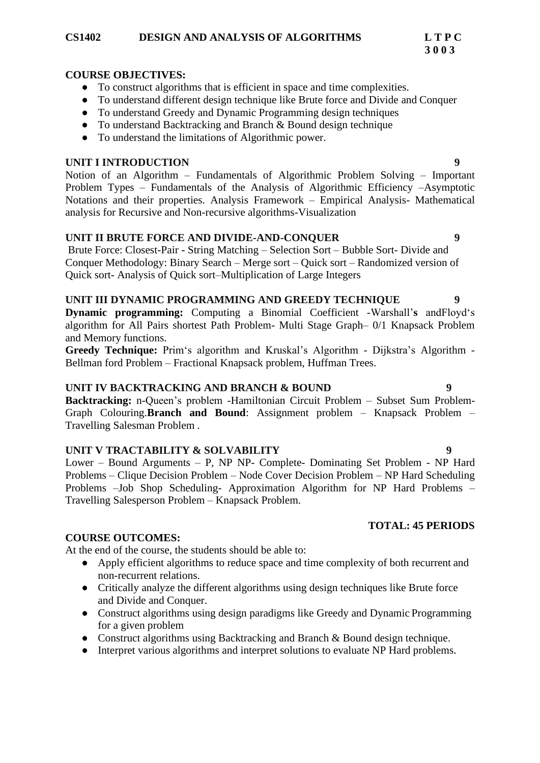#### **CS1402 DESIGN AND ANALYSIS OF ALGORITHMS L T P C**

#### **COURSE OBJECTIVES:**

- To construct algorithms that is efficient in space and time complexities.
- To understand different design technique like Brute force and Divide and Conquer
- To understand Greedy and Dynamic Programming design techniques
- To understand Backtracking and Branch & Bound design technique
- To understand the limitations of Algorithmic power.

#### **UNIT I INTRODUCTION 9**

Notion of an Algorithm – Fundamentals of Algorithmic Problem Solving – Important Problem Types – Fundamentals of the Analysis of Algorithmic Efficiency –Asymptotic Notations and their properties. Analysis Framework – Empirical Analysis- Mathematical analysis for Recursive and Non-recursive algorithms-Visualization

### **UNIT II BRUTE FORCE AND DIVIDE-AND-CONQUER 9**

Brute Force: Closest-Pair - String Matching – Selection Sort – Bubble Sort- Divide and Conquer Methodology: Binary Search – Merge sort – Quick sort – Randomized version of Quick sort- Analysis of Quick sort–Multiplication of Large Integers

### **UNIT III DYNAMIC PROGRAMMING AND GREEDY TECHNIQUE 9**

**Dynamic programming:** Computing a Binomial Coefficient -Warshall'**s** andFloyd's algorithm for All Pairs shortest Path Problem- Multi Stage Graph– 0/1 Knapsack Problem and Memory functions.

**Greedy Technique:** Prim's algorithm and Kruskal's Algorithm - Dijkstra's Algorithm - Bellman ford Problem – Fractional Knapsack problem, Huffman Trees.

#### **UNIT IV BACKTRACKING AND BRANCH & BOUND 9**

**Backtracking:** n-Queen's problem -Hamiltonian Circuit Problem – Subset Sum Problem-Graph Colouring.**Branch and Bound**: Assignment problem – Knapsack Problem – Travelling Salesman Problem .

### **UNIT V TRACTABILITY & SOLVABILITY 9**

Lower – Bound Arguments – P, NP NP- Complete- Dominating Set Problem - NP Hard Problems – Clique Decision Problem – Node Cover Decision Problem – NP Hard Scheduling Problems –Job Shop Scheduling- Approximation Algorithm for NP Hard Problems – Travelling Salesperson Problem – Knapsack Problem.

#### **COURSE OUTCOMES:**

At the end of the course, the students should be able to:

- Apply efficient algorithms to reduce space and time complexity of both recurrent and non-recurrent relations.
- Critically analyze the different algorithms using design techniques like Brute force and Divide and Conquer.
- Construct algorithms using design paradigms like Greedy and Dynamic Programming for a given problem
- Construct algorithms using Backtracking and Branch & Bound design technique.
- Interpret various algorithms and interpret solutions to evaluate NP Hard problems.

# **TOTAL: 45 PERIODS**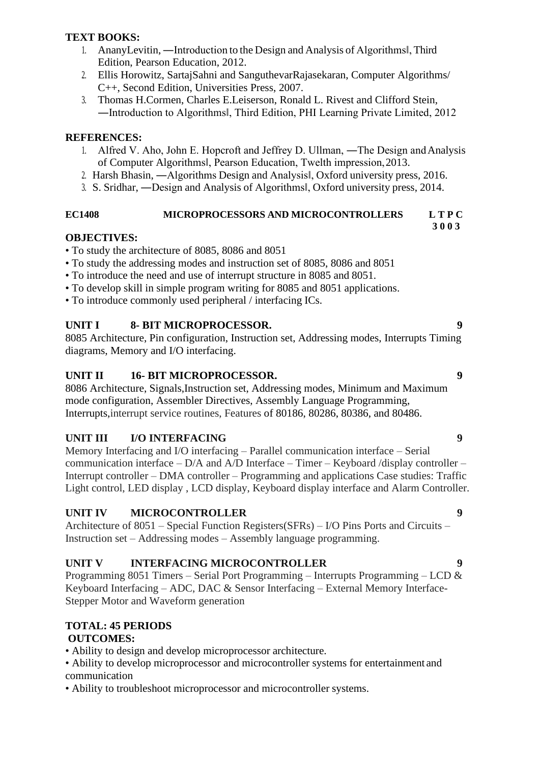### **TEXT BOOKS:**

- 1. AnanyLevitin, ―Introduction to the Design and Analysis of Algorithms‖, Third Edition, Pearson Education, 2012.
- 2. Ellis Horowitz, SartajSahni and SanguthevarRajasekaran, Computer Algorithms/ C++, Second Edition, Universities Press, 2007.
- 3. Thomas H.Cormen, Charles E.Leiserson, Ronald L. Rivest and Clifford Stein, ―Introduction to Algorithms‖, Third Edition, PHI Learning Private Limited, 2012

## **REFERENCES:**

- 1. Alfred V. Aho, John E. Hopcroft and Jeffrey D. Ullman, ―The Design andAnalysis of Computer Algorithms‖, Pearson Education, Twelth impression,2013.
- 2. Harsh Bhasin, ―Algorithms Design and Analysis‖, Oxford university press, 2016.
- 3. S. Sridhar, ―Design and Analysis of Algorithms‖, Oxford university press, 2014.

#### **EC1408 MICROPROCESSORS AND MICROCONTROLLERS L T P C 3 0 0 3**

## **OBJECTIVES:**

- To study the architecture of 8085, 8086 and 8051
- To study the addressing modes and instruction set of 8085, 8086 and 8051
- To introduce the need and use of interrupt structure in 8085 and 8051.
- To develop skill in simple program writing for 8085 and 8051 applications.
- To introduce commonly used peripheral / interfacing ICs.

## **UNIT I 8- BIT MICROPROCESSOR. 9**

8085 Architecture, Pin configuration, Instruction set, Addressing modes, Interrupts Timing diagrams, Memory and I/O interfacing.

## **UNIT II 16- BIT MICROPROCESSOR. 9**

8086 Architecture, Signals,Instruction set, Addressing modes, Minimum and Maximum mode configuration, Assembler Directives, Assembly Language Programming, Interrupts,interrupt service routines, Features of 80186, 80286, 80386, and 80486.

## **UNIT III I/O INTERFACING 9**

Memory Interfacing and I/O interfacing – Parallel communication interface – Serial communication interface – D/A and A/D Interface – Timer – Keyboard /display controller – Interrupt controller – DMA controller – Programming and applications Case studies: Traffic Light control, LED display , LCD display, Keyboard display interface and Alarm Controller.

## **UNIT IV MICROCONTROLLER 9**

Architecture of 8051 – Special Function Registers(SFRs) – I/O Pins Ports and Circuits – Instruction set – Addressing modes – Assembly language programming.

## **UNIT V INTERFACING MICROCONTROLLER 9**

Programming 8051 Timers – Serial Port Programming – Interrupts Programming – LCD & Keyboard Interfacing – ADC, DAC & Sensor Interfacing – External Memory Interface-Stepper Motor and Waveform generation

## **TOTAL: 45 PERIODS**

## **OUTCOMES:**

- Ability to design and develop microprocessor architecture.
- Ability to develop microprocessor and microcontroller systems for entertainment and communication
- Ability to troubleshoot microprocessor and microcontroller systems.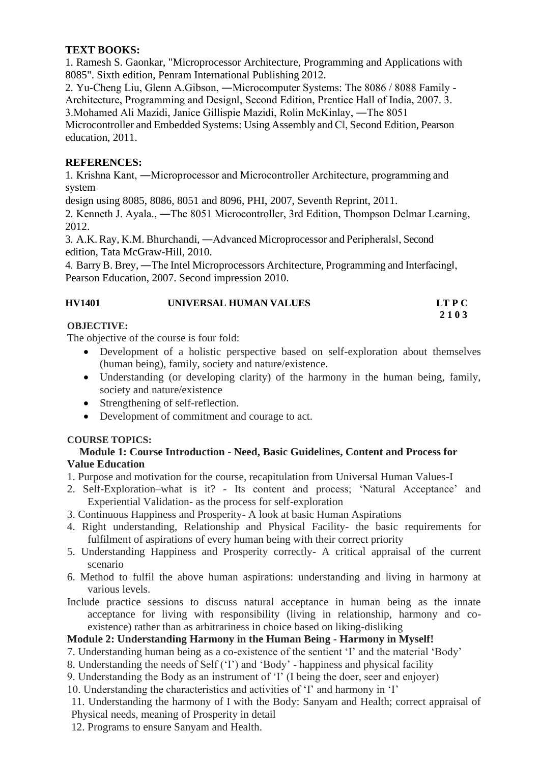## **TEXT BOOKS:**

1. Ramesh S. Gaonkar, "Microprocessor Architecture, Programming and Applications with 8085". Sixth edition, Penram International Publishing 2012.

2. Yu-Cheng Liu, Glenn A.Gibson, ―Microcomputer Systems: The 8086 / 8088 Family - Architecture, Programming and Design‖, Second Edition, Prentice Hall of India, 2007. 3. 3.Mohamed Ali Mazidi, Janice Gillispie Mazidi, Rolin McKinlay, ―The 8051 Microcontroller and Embedded Systems: Using Assembly and C‖, Second Edition, Pearson education, 2011.

## **REFERENCES:**

1. Krishna Kant, ―Microprocessor and Microcontroller Architecture, programming and system

design using 8085, 8086, 8051 and 8096, PHI, 2007, Seventh Reprint, 2011.

2. Kenneth J. Ayala., ―The 8051 Microcontroller, 3rd Edition, Thompson Delmar Learning, 2012.

3. A.K. Ray, K.M. Bhurchandi, ―Advanced Microprocessor and Peripherals‖, Second edition, Tata McGraw-Hill, 2010.

4. BarryB. Brey, ―The Intel Microprocessors Architecture, Programming and Interfacing‖, Pearson Education, 2007. Second impression 2010.

#### **HV1401 UNIVERSAL HUMAN VALUES LT P C 2 1 0 3**

#### **OBJECTIVE:**

The objective of the course is four fold:

- Development of a holistic perspective based on self-exploration about themselves (human being), family, society and nature/existence.
- Understanding (or developing clarity) of the harmony in the human being, family, society and nature/existence
- Strengthening of self-reflection.
- Development of commitment and courage to act.

### **COURSE TOPICS:**

#### **Module 1: Course Introduction - Need, Basic Guidelines, Content and Process for Value Education**

1. Purpose and motivation for the course, recapitulation from Universal Human Values-I

2. Self-Exploration–what is it? - Its content and process; 'Natural Acceptance' and Experiential Validation- as the process for self-exploration

- 3. Continuous Happiness and Prosperity- A look at basic Human Aspirations
- 4. Right understanding, Relationship and Physical Facility- the basic requirements for fulfilment of aspirations of every human being with their correct priority
- 5. Understanding Happiness and Prosperity correctly- A critical appraisal of the current scenario
- 6. Method to fulfil the above human aspirations: understanding and living in harmony at various levels.
- Include practice sessions to discuss natural acceptance in human being as the innate acceptance for living with responsibility (living in relationship, harmony and coexistence) rather than as arbitrariness in choice based on liking-disliking

## **Module 2: Understanding Harmony in the Human Being - Harmony in Myself!**

7. Understanding human being as a co-existence of the sentient 'I' and the material 'Body'

- 8. Understanding the needs of Self ('I') and 'Body' happiness and physical facility
- 9. Understanding the Body as an instrument of 'I' (I being the doer, seer and enjoyer)
- 10. Understanding the characteristics and activities of 'I' and harmony in 'I'

11. Understanding the harmony of I with the Body: Sanyam and Health; correct appraisal of Physical needs, meaning of Prosperity in detail

12. Programs to ensure Sanyam and Health.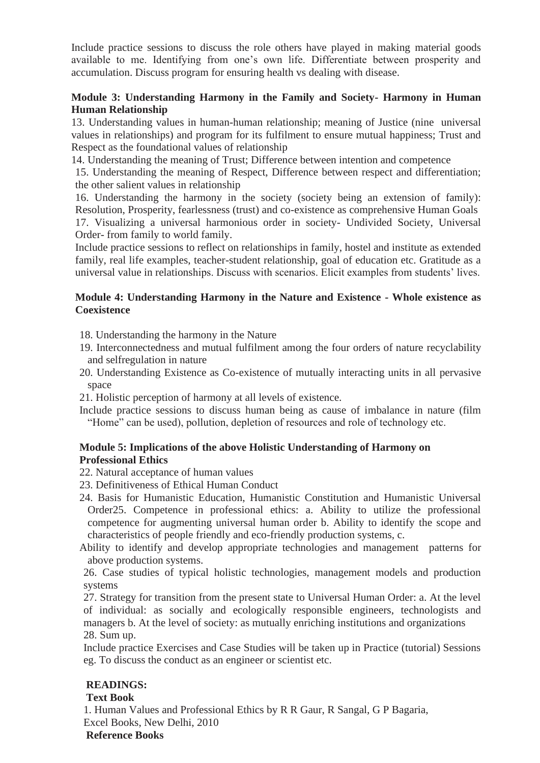Include practice sessions to discuss the role others have played in making material goods available to me. Identifying from one's own life. Differentiate between prosperity and accumulation. Discuss program for ensuring health vs dealing with disease.

### **Module 3: Understanding Harmony in the Family and Society- Harmony in Human Human Relationship**

13. Understanding values in human-human relationship; meaning of Justice (nine universal values in relationships) and program for its fulfilment to ensure mutual happiness; Trust and Respect as the foundational values of relationship

14. Understanding the meaning of Trust; Difference between intention and competence

15. Understanding the meaning of Respect, Difference between respect and differentiation; the other salient values in relationship

16. Understanding the harmony in the society (society being an extension of family): Resolution, Prosperity, fearlessness (trust) and co-existence as comprehensive Human Goals 17. Visualizing a universal harmonious order in society- Undivided Society, Universal Order- from family to world family.

Include practice sessions to reflect on relationships in family, hostel and institute as extended family, real life examples, teacher-student relationship, goal of education etc. Gratitude as a universal value in relationships. Discuss with scenarios. Elicit examples from students' lives.

#### **Module 4: Understanding Harmony in the Nature and Existence - Whole existence as Coexistence**

- 18. Understanding the harmony in the Nature
- 19. Interconnectedness and mutual fulfilment among the four orders of nature recyclability and selfregulation in nature
- 20. Understanding Existence as Co-existence of mutually interacting units in all pervasive space

21. Holistic perception of harmony at all levels of existence.

Include practice sessions to discuss human being as cause of imbalance in nature (film "Home" can be used), pollution, depletion of resources and role of technology etc.

#### **Module 5: Implications of the above Holistic Understanding of Harmony on Professional Ethics**

- 22. Natural acceptance of human values
- 23. Definitiveness of Ethical Human Conduct
- 24. Basis for Humanistic Education, Humanistic Constitution and Humanistic Universal Order25. Competence in professional ethics: a. Ability to utilize the professional competence for augmenting universal human order b. Ability to identify the scope and characteristics of people friendly and eco-friendly production systems, c.
- Ability to identify and develop appropriate technologies and management patterns for above production systems.

26. Case studies of typical holistic technologies, management models and production systems

27. Strategy for transition from the present state to Universal Human Order: a. At the level of individual: as socially and ecologically responsible engineers, technologists and managers b. At the level of society: as mutually enriching institutions and organizations 28. Sum up.

Include practice Exercises and Case Studies will be taken up in Practice (tutorial) Sessions eg. To discuss the conduct as an engineer or scientist etc.

## **READINGS:**

### **Text Book**

1. Human Values and Professional Ethics by R R Gaur, R Sangal, G P Bagaria, Excel Books, New Delhi, 2010

#### **Reference Books**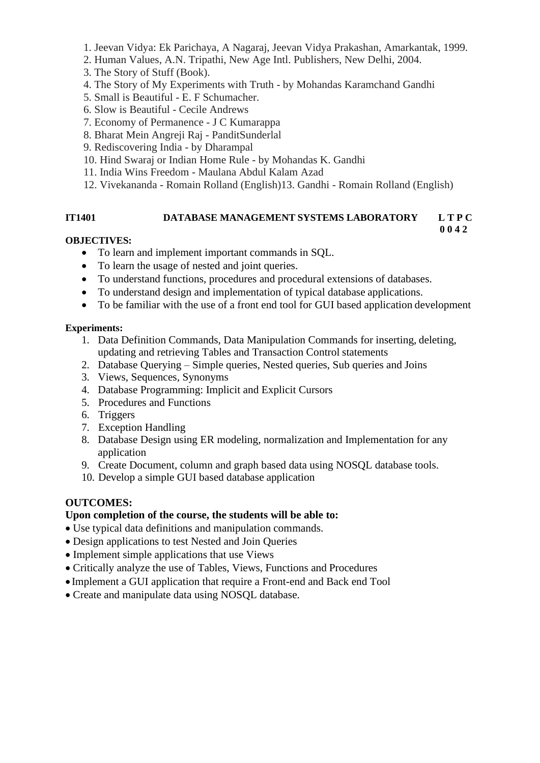- 1. Jeevan Vidya: Ek Parichaya, A Nagaraj, Jeevan Vidya Prakashan, Amarkantak, 1999.
- 2. Human Values, A.N. Tripathi, New Age Intl. Publishers, New Delhi, 2004.
- 3. The Story of Stuff (Book).
- 4. The Story of My Experiments with Truth by Mohandas Karamchand Gandhi
- 5. Small is Beautiful E. F Schumacher.
- 6. Slow is Beautiful Cecile Andrews
- 7. Economy of Permanence J C Kumarappa
- 8. Bharat Mein Angreji Raj PanditSunderlal
- 9. Rediscovering India by Dharampal
- 10. Hind Swaraj or Indian Home Rule by Mohandas K. Gandhi
- 11. India Wins Freedom Maulana Abdul Kalam Azad
- 12. Vivekananda Romain Rolland (English)13. Gandhi Romain Rolland (English)

#### **IT1401 DATABASE MANAGEMENT SYSTEMS LABORATORY L T P C 0 0 4 2**

#### **OBJECTIVES:**

- To learn and implement important commands in SQL.
- To learn the usage of nested and joint queries.
- To understand functions, procedures and procedural extensions of databases.
- To understand design and implementation of typical database applications.
- To be familiar with the use of a front end tool for GUI based application development

#### **Experiments:**

- 1. Data Definition Commands, Data Manipulation Commands for inserting, deleting, updating and retrieving Tables and Transaction Control statements
- 2. Database Querying Simple queries, Nested queries, Sub queries and Joins
- 3. Views, Sequences, Synonyms
- 4. Database Programming: Implicit and Explicit Cursors
- 5. Procedures and Functions
- 6. Triggers
- 7. Exception Handling
- 8. Database Design using ER modeling, normalization and Implementation for any application
- 9. Create Document, column and graph based data using NOSQL database tools.
- 10. Develop a simple GUI based database application

### **OUTCOMES:**

## **Upon completion of the course, the students will be able to:**

- Use typical data definitions and manipulation commands.
- Design applications to test Nested and Join Queries
- Implement simple applications that use Views
- Critically analyze the use of Tables, Views, Functions and Procedures
- Implement a GUI application that require a Front-end and Back end Tool
- Create and manipulate data using NOSQL database.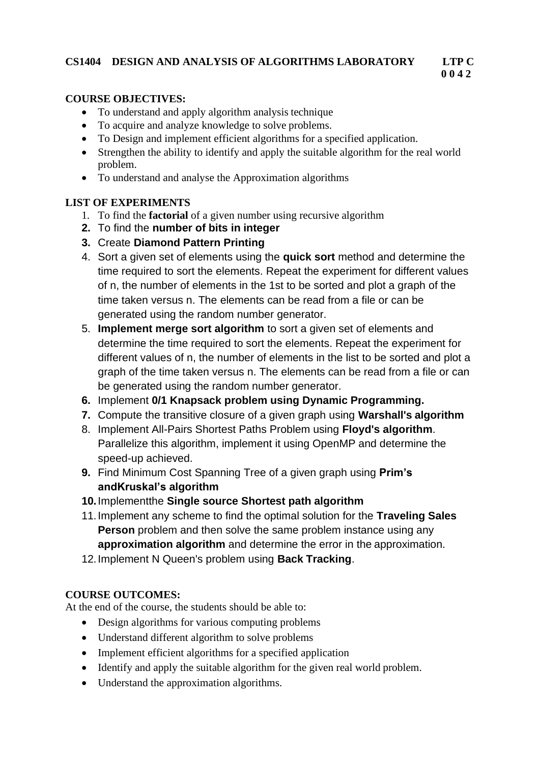## **CS1404 DESIGN AND ANALYSIS OF ALGORITHMS LABORATORY LTP C**

# **0 0 4 2**

## **COURSE OBJECTIVES:**

- To understand and apply algorithm analysis technique
- To acquire and analyze knowledge to solve problems.
- To Design and implement efficient algorithms for a specified application.
- Strengthen the ability to identify and apply the suitable algorithm for the real world problem.
- To understand and analyse the Approximation algorithms

# **LIST OF EXPERIMENTS**

- 1. To find the **factorial** of a given number using recursive algorithm
- **2.** To find the **number of bits in integer**
- **3.** Create **Diamond Pattern Printing**
- 4. Sort a given set of elements using the **quick sort** method and determine the time required to sort the elements. Repeat the experiment for different values of n, the number of elements in the 1st to be sorted and plot a graph of the time taken versus n. The elements can be read from a file or can be generated using the random number generator.
- 5. **Implement merge sort algorithm** to sort a given set of elements and determine the time required to sort the elements. Repeat the experiment for different values of n, the number of elements in the list to be sorted and plot a graph of the time taken versus n. The elements can be read from a file or can be generated using the random number generator.
- **6.** Implement **0/1 Knapsack problem using Dynamic Programming.**
- **7.** Compute the transitive closure of a given graph using **Warshall's algorithm**
- 8. Implement All-Pairs Shortest Paths Problem using **Floyd's algorithm**. Parallelize this algorithm, implement it using OpenMP and determine the speed-up achieved.
- **9.** Find Minimum Cost Spanning Tree of a given graph using **Prim's andKruskal's algorithm**
- **10.**Implementthe **Single source Shortest path algorithm**
- 11.Implement any scheme to find the optimal solution for the **Traveling Sales Person** problem and then solve the same problem instance using any **approximation algorithm** and determine the error in the approximation.
- 12.Implement N Queen's problem using **Back Tracking**.

# **COURSE OUTCOMES:**

At the end of the course, the students should be able to:

- Design algorithms for various computing problems
- Understand different algorithm to solve problems
- Implement efficient algorithms for a specified application
- Identify and apply the suitable algorithm for the given real world problem.
- Understand the approximation algorithms.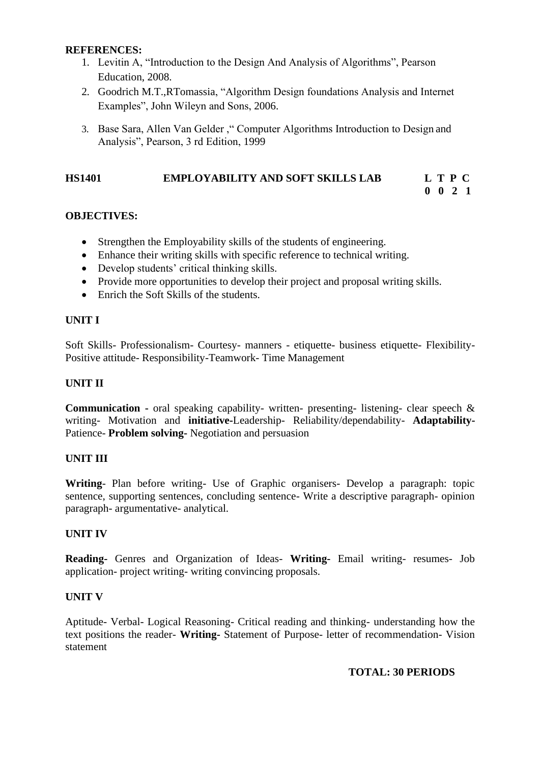#### **REFERENCES:**

- 1. Levitin A, "Introduction to the Design And Analysis of Algorithms", Pearson Education, 2008.
- 2. Goodrich M.T.,RTomassia, "Algorithm Design foundations Analysis and Internet Examples", John Wileyn and Sons, 2006.
- 3. Base Sara, Allen Van Gelder ," Computer Algorithms Introduction to Design and Analysis", Pearson, 3 rd Edition, 1999

## **HS1401 EMPLOYABILITY AND SOFT SKILLS LAB L T P C**

# **OBJECTIVES:**

- Strengthen the Employability skills of the students of engineering.
- Enhance their writing skills with specific reference to technical writing.
- Develop students' critical thinking skills.
- Provide more opportunities to develop their project and proposal writing skills.
- Enrich the Soft Skills of the students.

### **UNIT I**

Soft Skills- Professionalism- Courtesy- manners - etiquette- business etiquette- Flexibility-Positive attitude- Responsibility-Teamwork- Time Management

### **UNIT II**

**Communication -** oral speaking capability- written- presenting- listening- clear speech & writing- Motivation and **initiative-**Leadership- Reliability/dependability- **Adaptability-**Patience- **Problem solving-** Negotiation and persuasion

### **UNIT III**

**Writing**- Plan before writing- Use of Graphic organisers- Develop a paragraph: topic sentence, supporting sentences, concluding sentence- Write a descriptive paragraph- opinion paragraph- argumentative- analytical.

### **UNIT IV**

**Reading-** Genres and Organization of Ideas- **Writing-** Email writing- resumes- Job application- project writing- writing convincing proposals.

#### **UNIT V**

Aptitude- Verbal- Logical Reasoning- Critical reading and thinking- understanding how the text positions the reader- **Writing-** Statement of Purpose- letter of recommendation- Vision statement

### **TOTAL: 30 PERIODS**

**0 0 2 1**